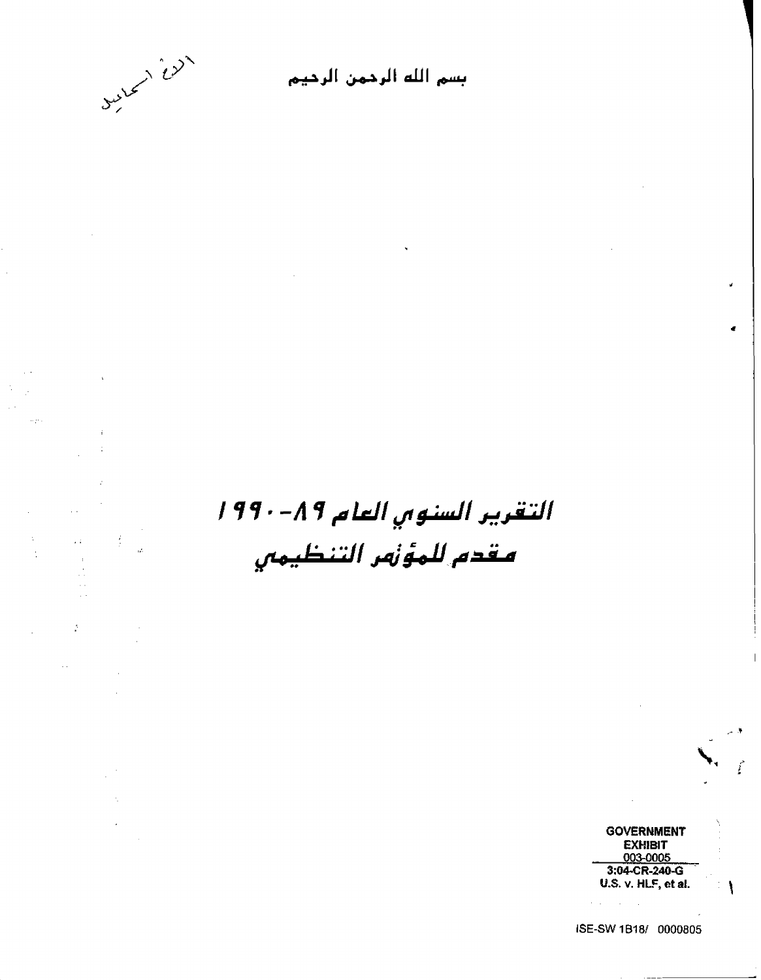

**Separat** 

 $\Delta$ 

 $\frac{2}{T}$ 

 $\sim$ 

 $\lambda_{\rm L}$ 

 $\frac{1}{2}$ 

 $\bar{\omega}$  :

 $\overline{\phantom{a}}$ 

 $\Delta \sim$ 

 $\sim 10^{-1}$ 

بسم الله الرحمن الرحيم

 $\bar{\mathbf{v}}$ 

التقرير السنوبي العام ٨٩-١٩٩٠ مقدم للمؤنمر التنظيمي



تنمح

**ISE-SW 1 Bj 81 0000805** 

 $\mathcal{L}$  $\mathcal{A}$ 

---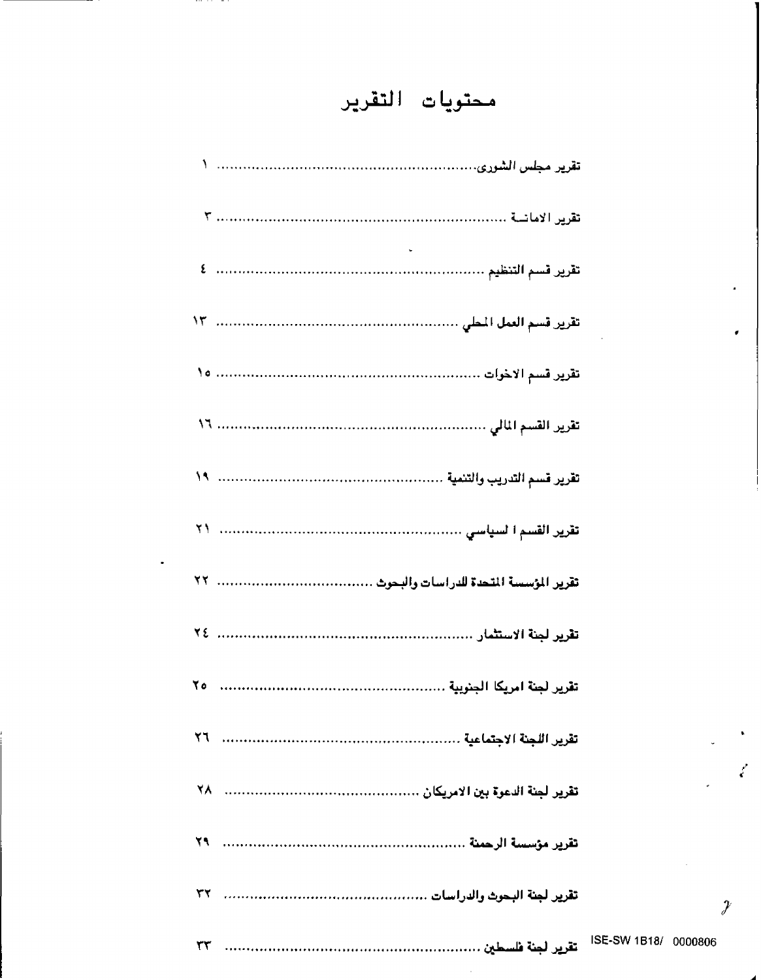# محتويات التقرير

SW 1B18/ 0000806

 $\bullet$ 

 $\mathcal{L}$ 

 $\mathcal{Y}$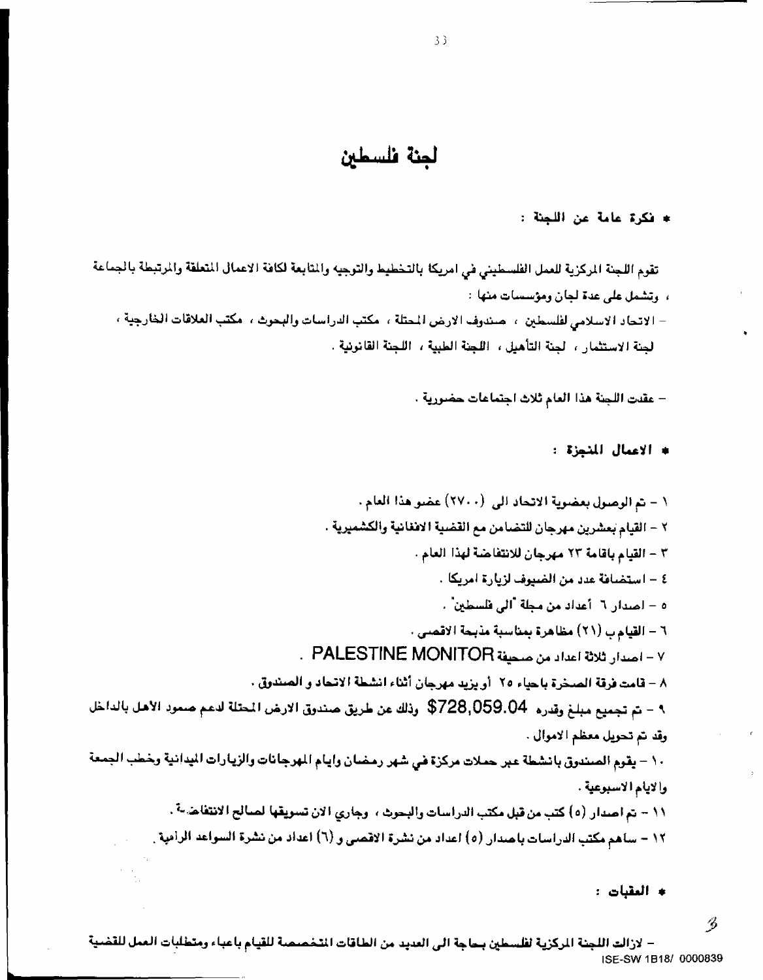# لجنة فلسطين

\* فكرة عامة عن اللجنة :

تقوم اللجنة المركزية للعمل الفلسطيني في امريكا بالتخطيط والتوجيه والمتابعة لكافة الاعمال المتعلقة والمرتبطة بالجماعة ، ويشمل على عدة لجان ومؤسسات منها :

– الاتحاد الاسلامي لفلسطين ، حيندوف الارض المحتلة ، مكتب الدراسات والبحرث ، مكتب العلاقات الخارجية ، لجنة الاستثمار ، لجنة التأهيل ، اللجنة الطبية ، اللجنة القانونية .

– عقدت اللجنة هذا العام ثلاث اجتماعات حضورية .

\* الأعمال المنجزة :

- \* العقبات :
- $\mathscr{B}$

– لازالت اللجنة الركزية لفلسطين بحاجة الى العديد من الطاقات التخصصة للقيام باعباء ومتطلبات العمل للقضية ISE-SW 1B18/ 0000839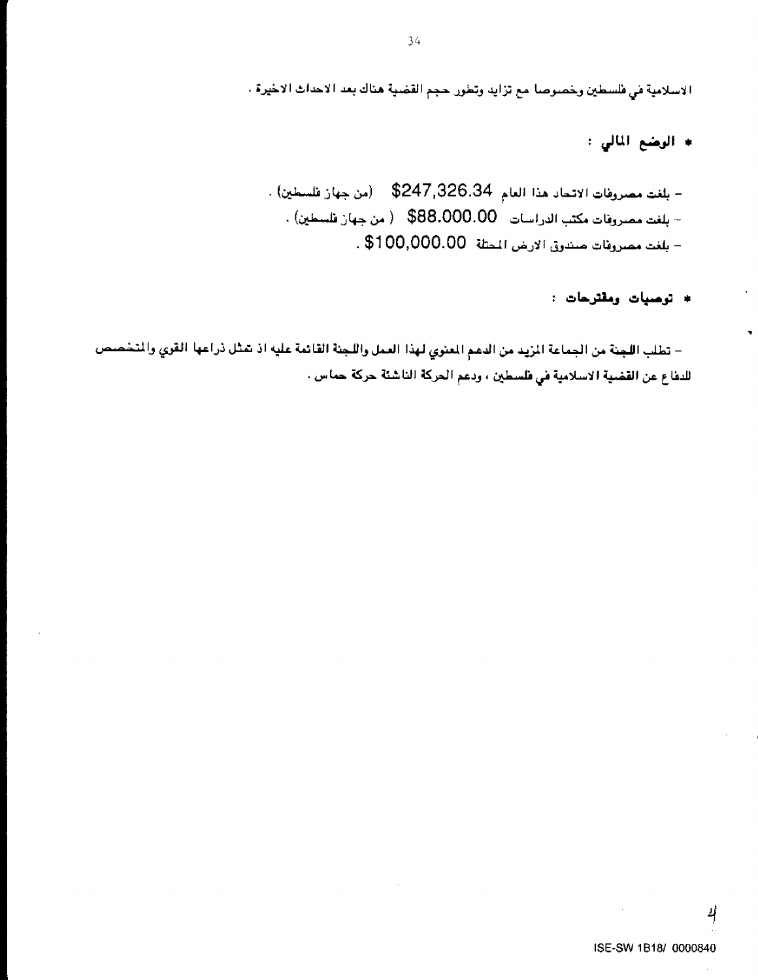الاسلامية في فلسطين وخصوصا مع تزايد وتطور. حجم القضية هناك بعد الاحداث الاخيرة .

\* الرضع المالي :

- بلغت مصروفات الاتحاد هذا العام 326.34\$ (من جهاز فلسطين) . – بلغت مصروفات مكتب الدراسات 588.000.00\$ ( من جهاز فلسطين) . - بلغت مصروفات صندوق الارض الممثلة 100,000.00\$ .

\* توصيات ومقترحات :

– تطلب اللجنة من الجماعة المزيد من الدعم المعنوي لهذا العمل واللجنة القائمة عليه اذ شثل ذراعها القوي والتخصص للدفاع عن القضية الاسلامية في فلسطين ، ودعم الحركة الناشئة حركة حماس .

4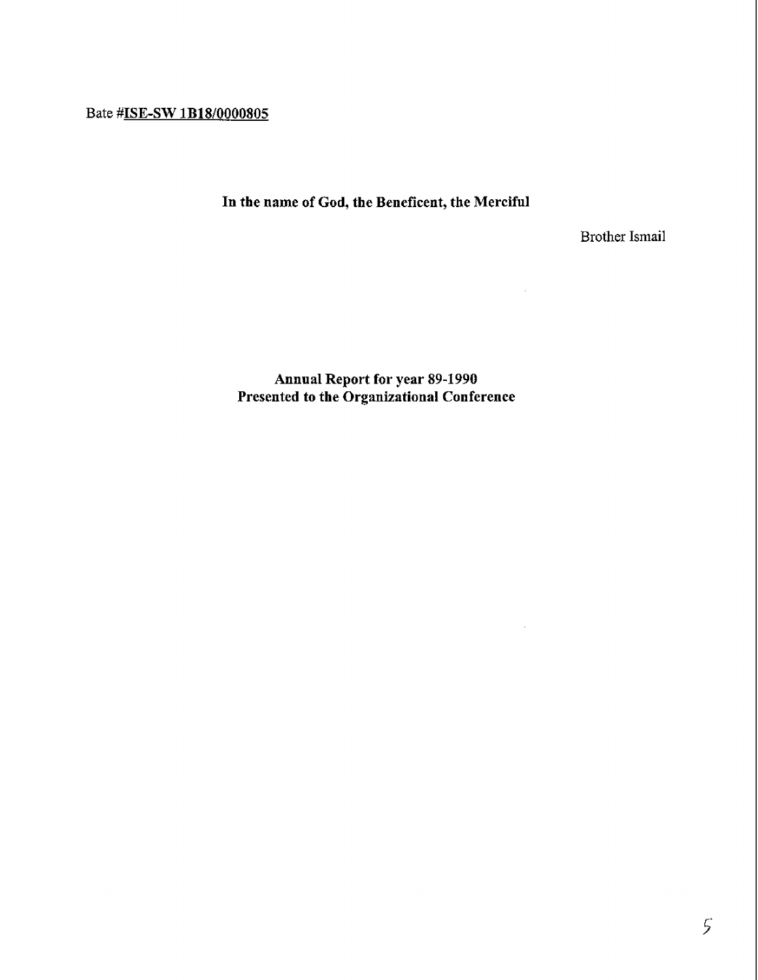Bate **#HE-SW lBl810000805** 

**In the name of God, the Beneficent, the Merciful** 

Brother Ismail

 $\sim 10^7$ 

 $\sim$ 

**Annual Report for year 89-1990 Presented to the Organizational Conference**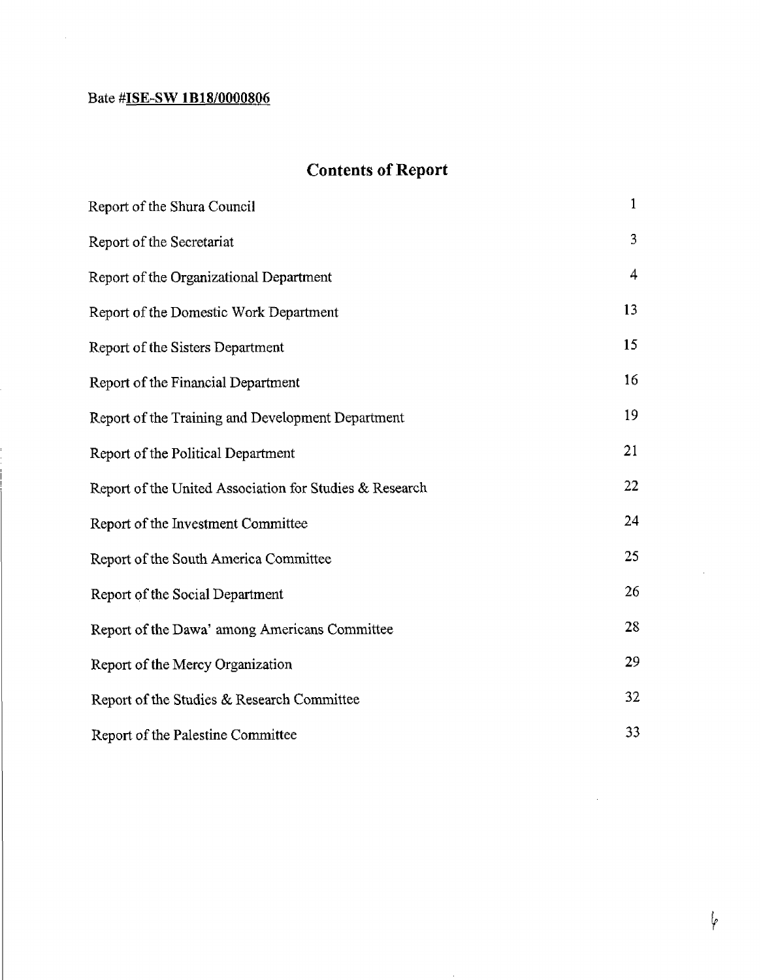## Bate **#ISE-SW 1B18/0000806**

 $\bar{z}$ 

# **Contents of Report**

| Report of the Shura Council                             | $\mathbf{1}$ |
|---------------------------------------------------------|--------------|
| Report of the Secretariat                               | 3            |
| Report of the Organizational Department                 | 4            |
| Report of the Domestic Work Department                  | 13           |
| Report of the Sisters Department                        | 15           |
| Report of the Financial Department                      | 16           |
| Report of the Training and Development Department       | 19           |
| Report of the Political Department                      | 21           |
| Report of the United Association for Studies & Research | 22           |
| Report of the Investment Committee                      | 24           |
| Report of the South America Committee                   | 25           |
| Report of the Social Department                         | 26           |
| Report of the Dawa' among Americans Committee           | 28           |
| Report of the Mercy Organization                        | 29           |
| Report of the Studies & Research Committee              | 32           |
| Report of the Palestine Committee                       | 33           |

 $\sim$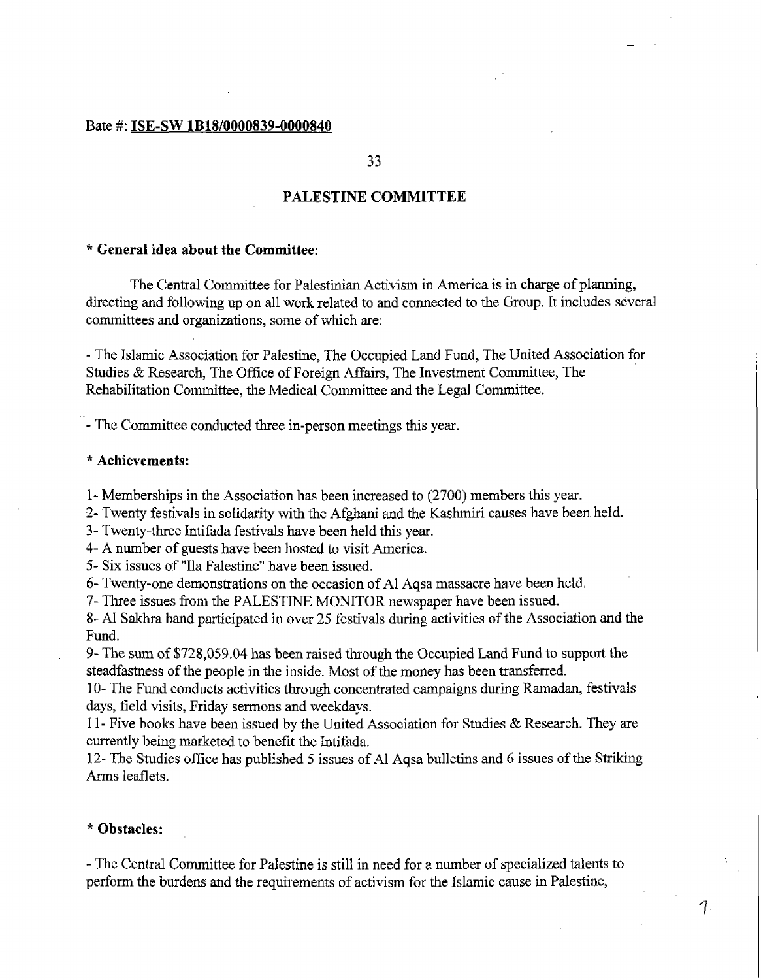#### Bate #: **ISE-SW 1 B18/0000839-0000840**

 $33$ 

### **PALESTINE COMMITTEE**

#### \* **General idea about** *the* **Committee:**

The Central Committee for Palestinian Activism in America is in **charge** of **planning,**  directing and following up on all work related to and connected to the Group. It includes several committees **and** organizations, some of which **are:** 

- The Islamic Association for Palestine, The Occupied Land Fund, The United Association for Studies & Research, The Ofice of Foreign Affairs, The Investment Committee, The Rehabilitation Committee, the Medical Committee and the Legal Committee.

- The Committee conducted three in-person meetings this year.

#### \* **Achievements:**

1- Memberships in the Association has been increased to (2700) members this year.

2- Twenty festivals in solidarity with the Afghani and the Kshmiri causes have been held.

3- Twenty-three Intifada festivals have been held this year.

4- **A** number of guests have been hosted to visit America.

5- Six issues of "Ila Falestine" have been issued.

*6-* Twenty-one demonstrations on the occasion of A1 Aqsa massacre have been **held,** 

7- Three issues from the PALESTINE MONITOR **newspaper** have been issued.

8- AI Sakhra band participated in over *25* festivals during activities of the Association and the Fund.

9- The sum of \$728,059.04 has been raised through the Occupied Land Fund to support the steadfastness of the people in the inside. Most of the money has been transferred.

1 0- The Fund conducts activities through concentrated campaigns during Ramadan, festivals days, field visits, Friday sermons and weekdays.

11- Five books have been issued by the United Association for Studies & Research. They are currently being marketed to benefit the Intifada.

12- The Studies **office** has published *5* issues of **A1** Aqsa bulletins and 6 issues of the Striking **Arms** leaflets.

#### \* **Obstacles:**

- The Central Committee for Palestine is still in need for a number of specialized talents to perform the burdens and the requirements of activism for the Islamic cause **in** Palestine,

 $\mathcal{T}$ .